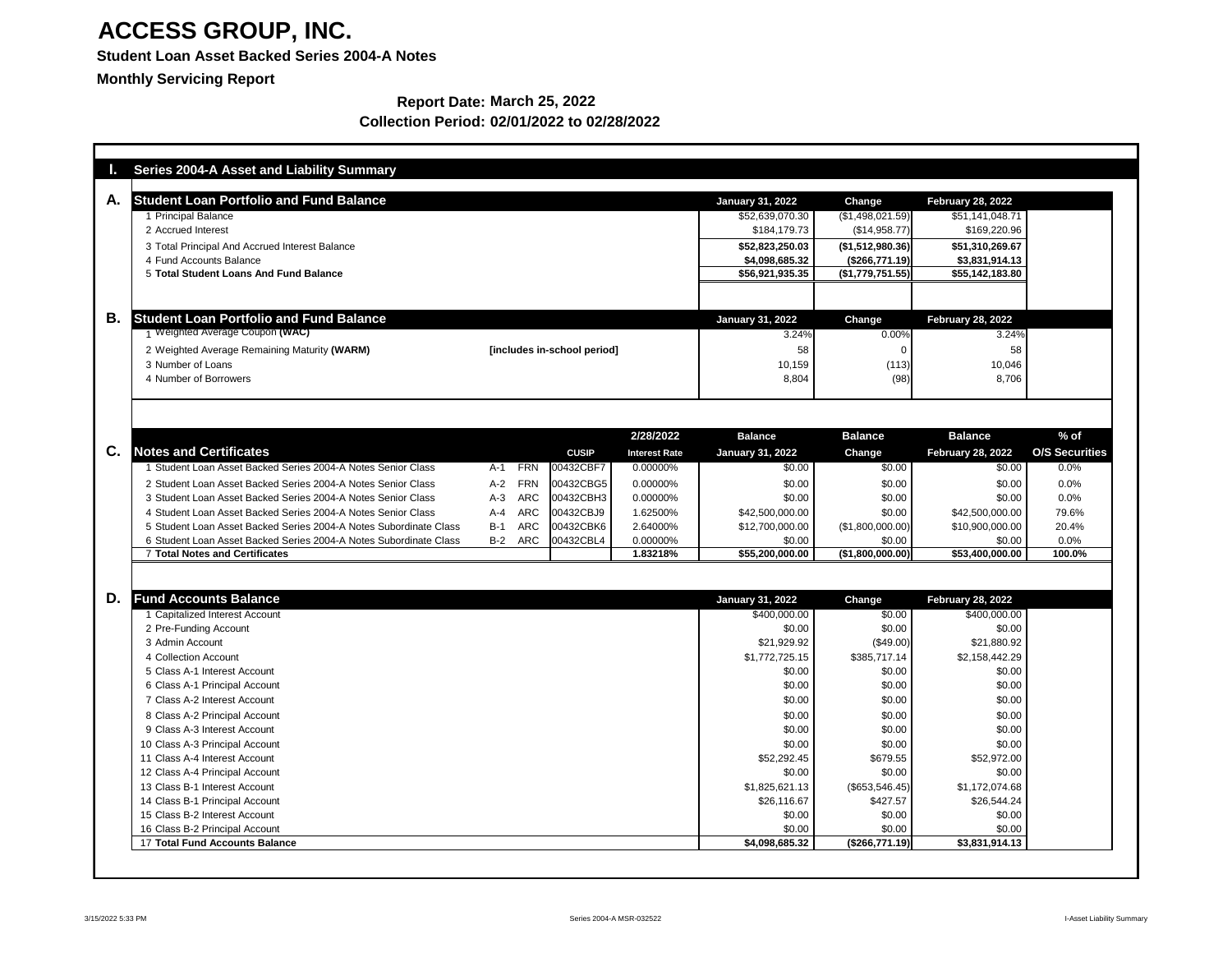### **Student Loan Asset Backed Series 2004-A Notes**

**Monthly Servicing Report**

|    | <b>Series 2004-A Asset and Liability Summary</b>                        |                     |                             |                      |                          |                          |                          |                       |
|----|-------------------------------------------------------------------------|---------------------|-----------------------------|----------------------|--------------------------|--------------------------|--------------------------|-----------------------|
| A. | <b>Student Loan Portfolio and Fund Balance</b>                          |                     |                             |                      | <b>January 31, 2022</b>  | Change                   | <b>February 28, 2022</b> |                       |
|    | 1 Principal Balance                                                     |                     |                             |                      | \$52,639,070.30          | (\$1,498,021.59)         | \$51,141,048.71          |                       |
|    | 2 Accrued Interest                                                      |                     |                             |                      | \$184,179.73             | (\$14,958.77)            | \$169,220.96             |                       |
|    | 3 Total Principal And Accrued Interest Balance                          |                     |                             |                      | \$52,823,250.03          | ( \$1,512,980.36)        | \$51,310,269.67          |                       |
|    | 4 Fund Accounts Balance                                                 |                     |                             |                      | \$4,098,685.32           | (\$266,771.19)           | \$3,831,914.13           |                       |
|    | 5 Total Student Loans And Fund Balance                                  |                     |                             |                      | \$56,921,935.35          | (\$1,779,751.55)         | \$55,142,183.80          |                       |
|    |                                                                         |                     |                             |                      |                          |                          |                          |                       |
| В. | <b>Student Loan Portfolio and Fund Balance</b>                          |                     |                             |                      | <b>January 31, 2022</b>  | Change                   | <b>February 28, 2022</b> |                       |
|    | 1 Weighted Average Coupon (WAC)                                         |                     |                             |                      | 3.24%                    | 0.00%                    | 3.24%                    |                       |
|    | 2 Weighted Average Remaining Maturity (WARM)                            |                     | [includes in-school period] |                      | 58                       |                          | 58                       |                       |
|    | 3 Number of Loans                                                       |                     |                             |                      | 10,159                   | (113)                    | 10,046                   |                       |
|    | 4 Number of Borrowers                                                   |                     |                             |                      | 8,804                    | (98)                     | 8,706                    |                       |
|    |                                                                         |                     |                             |                      |                          |                          |                          |                       |
|    |                                                                         |                     |                             |                      |                          |                          |                          |                       |
|    |                                                                         |                     |                             | 2/28/2022            | <b>Balance</b>           | <b>Balance</b>           | <b>Balance</b>           | $%$ of                |
| C. | <b>Notes and Certificates</b>                                           |                     | <b>CUSIP</b>                | <b>Interest Rate</b> | <b>January 31, 2022</b>  | <b>Change</b>            | <b>February 28, 2022</b> | <b>O/S Securities</b> |
|    | Student Loan Asset Backed Series 2004-A Notes Senior Class              | <b>FRN</b><br>$A-1$ | 00432CBF7                   | 0.00000%             | \$0.00                   | \$0.00                   | \$0.00                   | 0.0%                  |
|    | 2 Student Loan Asset Backed Series 2004-A Notes Senior Class            | $A-2$<br><b>FRN</b> | 00432CBG5                   | 0.00000%             | \$0.00                   | \$0.00                   | \$0.00                   | 0.0%                  |
|    | 3 Student Loan Asset Backed Series 2004-A Notes Senior Class            | <b>ARC</b><br>$A-3$ | 00432CBH3                   | 0.00000%             | \$0.00                   | \$0.00                   | \$0.00                   | 0.0%                  |
|    | 4 Student Loan Asset Backed Series 2004-A Notes Senior Class            | <b>ARC</b><br>$A-4$ | 00432CBJ9                   | 1.62500%             | \$42,500,000.00          | \$0.00                   | \$42,500,000.00          | 79.6%                 |
|    | 5 Student Loan Asset Backed Series 2004-A Notes Subordinate Class       | <b>ARC</b><br>$B-1$ | 00432CBK6                   | 2.64000%             | \$12,700,000.00          | (\$1,800,000.00)         | \$10,900,000.00          | 20.4%                 |
|    | 6 Student Loan Asset Backed Series 2004-A Notes Subordinate Class       | ARC<br>$B-2$        | 00432CBL4                   | 0.00000%             | \$0.00                   | \$0.00                   | \$0.00                   | 0.0%                  |
|    | <b>7 Total Notes and Certificates</b>                                   |                     |                             | 1.83218%             | \$55,200,000.00          | (\$1,800,000.00]         | \$53,400,000.00          | 100.0%                |
|    |                                                                         |                     |                             |                      |                          |                          |                          |                       |
| D. | <b>Fund Accounts Balance</b>                                            |                     |                             |                      | <b>January 31, 2022</b>  | Change                   | <b>February 28, 2022</b> |                       |
|    | <b>Capitalized Interest Account</b>                                     |                     |                             |                      | \$400,000.00             | \$0.00                   | \$400,000.00             |                       |
|    | 2 Pre-Funding Account                                                   |                     |                             |                      | \$0.00                   | \$0.00                   | \$0.00                   |                       |
|    | 3 Admin Account                                                         |                     |                             |                      | \$21,929.92              | (\$49.00)                | \$21,880.92              |                       |
|    | 4 Collection Account                                                    |                     |                             |                      | \$1,772,725.15           | \$385,717.14             | \$2,158,442.29           |                       |
|    | 5 Class A-1 Interest Account                                            |                     |                             |                      | \$0.00                   | \$0.00                   | \$0.00                   |                       |
|    | 6 Class A-1 Principal Account                                           |                     |                             |                      | \$0.00                   | \$0.00                   | \$0.00                   |                       |
|    | 7 Class A-2 Interest Account                                            |                     |                             |                      | \$0.00                   | \$0.00                   | \$0.00                   |                       |
|    | 8 Class A-2 Principal Account                                           |                     |                             |                      | \$0.00                   | \$0.00                   | \$0.00                   |                       |
|    | 9 Class A-3 Interest Account                                            |                     |                             |                      | \$0.00                   | \$0.00                   | \$0.00                   |                       |
|    | 10 Class A-3 Principal Account                                          |                     |                             |                      | \$0.00                   | \$0.00                   | \$0.00                   |                       |
|    | 11 Class A-4 Interest Account                                           |                     |                             |                      | \$52,292.45              | \$679.55                 | \$52,972.00              |                       |
|    | 12 Class A-4 Principal Account                                          |                     |                             |                      | \$0.00                   | \$0.00                   | \$0.00                   |                       |
|    | 13 Class B-1 Interest Account                                           |                     |                             |                      | \$1,825,621.13           | (\$653,546.45)           | \$1,172,074.68           |                       |
|    | 14 Class B-1 Principal Account                                          |                     |                             |                      | \$26,116.67              | \$427.57                 | \$26,544.24              |                       |
|    | 15 Class B-2 Interest Account                                           |                     |                             |                      | \$0.00                   | \$0.00                   | \$0.00                   |                       |
|    | 16 Class B-2 Principal Account<br><b>17 Total Fund Accounts Balance</b> |                     |                             |                      | \$0.00<br>\$4,098,685.32 | \$0.00<br>(\$266,771.19) | \$0.00<br>\$3,831,914.13 |                       |
|    |                                                                         |                     |                             |                      |                          |                          |                          |                       |

#### **Report Date: March 25, 2022 Collection Period: 02/01/2022 to 02/28/2022**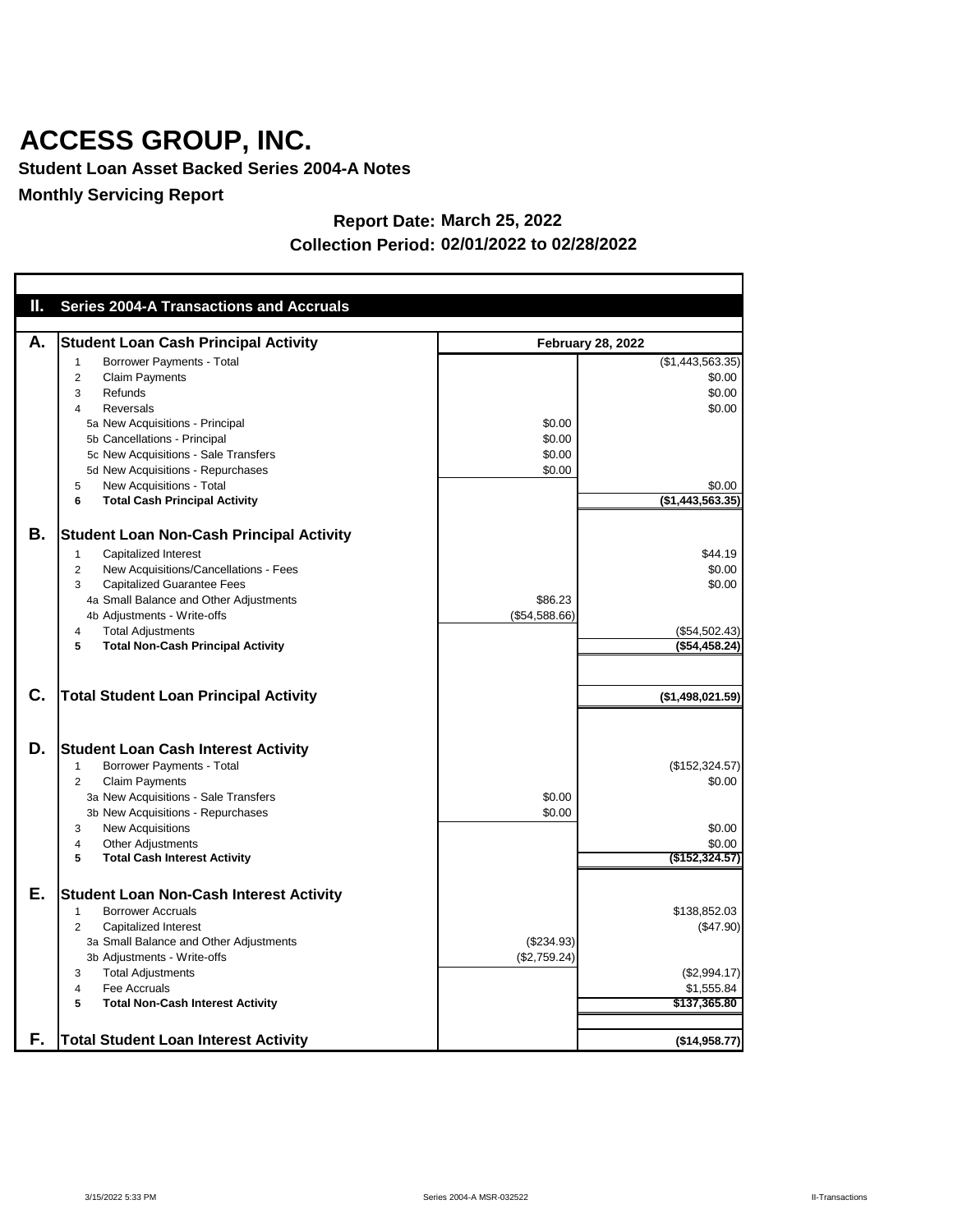**Student Loan Asset Backed Series 2004-A Notes**

**Monthly Servicing Report**

| Ш. | <b>Series 2004-A Transactions and Accruals</b>                                                                                                                                                                                                                                                                                                          |                                      |                                                                              |
|----|---------------------------------------------------------------------------------------------------------------------------------------------------------------------------------------------------------------------------------------------------------------------------------------------------------------------------------------------------------|--------------------------------------|------------------------------------------------------------------------------|
|    |                                                                                                                                                                                                                                                                                                                                                         |                                      |                                                                              |
| А. | <b>Student Loan Cash Principal Activity</b>                                                                                                                                                                                                                                                                                                             |                                      | <b>February 28, 2022</b>                                                     |
|    | <b>Borrower Payments - Total</b><br>1<br><b>Claim Payments</b><br>$\overline{2}$<br>Refunds<br>3<br><b>Reversals</b><br>4<br>5a New Acquisitions - Principal<br>5b Cancellations - Principal<br>5c New Acquisitions - Sale Transfers<br>5d New Acquisitions - Repurchases<br>New Acquisitions - Total<br>5<br><b>Total Cash Principal Activity</b><br>6 | \$0.00<br>\$0.00<br>\$0.00<br>\$0.00 | (\$1,443,563.35)<br>\$0.00<br>\$0.00<br>\$0.00<br>\$0.00<br>(\$1,443,563.35) |
| В. | <b>Student Loan Non-Cash Principal Activity</b><br><b>Capitalized Interest</b><br>1<br>New Acquisitions/Cancellations - Fees<br>2<br><b>Capitalized Guarantee Fees</b><br>3<br>4a Small Balance and Other Adjustments<br>4b Adjustments - Write-offs<br><b>Total Adjustments</b><br>4<br><b>Total Non-Cash Principal Activity</b><br>5                  | \$86.23<br>(\$54,588.66)             | \$44.19<br>\$0.00<br>\$0.00<br>(\$54,502.43)<br>(\$54,458.24)                |
| C. | <b>Total Student Loan Principal Activity</b>                                                                                                                                                                                                                                                                                                            |                                      | (\$1,498,021.59)                                                             |
| D. | <b>Student Loan Cash Interest Activity</b><br><b>Borrower Payments - Total</b><br>1<br><b>Claim Payments</b><br>2<br>3a New Acquisitions - Sale Transfers<br>3b New Acquisitions - Repurchases<br><b>New Acquisitions</b><br>3<br><b>Other Adjustments</b><br>4<br><b>Total Cash Interest Activity</b><br>5                                             | \$0.00<br>\$0.00                     | (\$152,324.57)<br>\$0.00<br>\$0.00<br>\$0.00<br>(\$152,324.57)               |
| Е. | <b>Student Loan Non-Cash Interest Activity</b><br><b>Borrower Accruals</b><br>1<br>Capitalized Interest<br>2<br>3a Small Balance and Other Adjustments<br>3b Adjustments - Write-offs<br><b>Total Adjustments</b><br>3<br>Fee Accruals<br>4<br>5<br><b>Total Non-Cash Interest Activity</b>                                                             | (\$234.93)<br>(\$2,759.24)           | \$138,852.03<br>(\$47.90)<br>(\$2,994.17)<br>\$1,555.84<br>\$137,365.80      |
| F. | <b>Total Student Loan Interest Activity</b>                                                                                                                                                                                                                                                                                                             |                                      | (\$14,958.77)                                                                |

#### **Report Date: March 25, 2022 Collection Period: 02/01/2022 to 02/28/2022**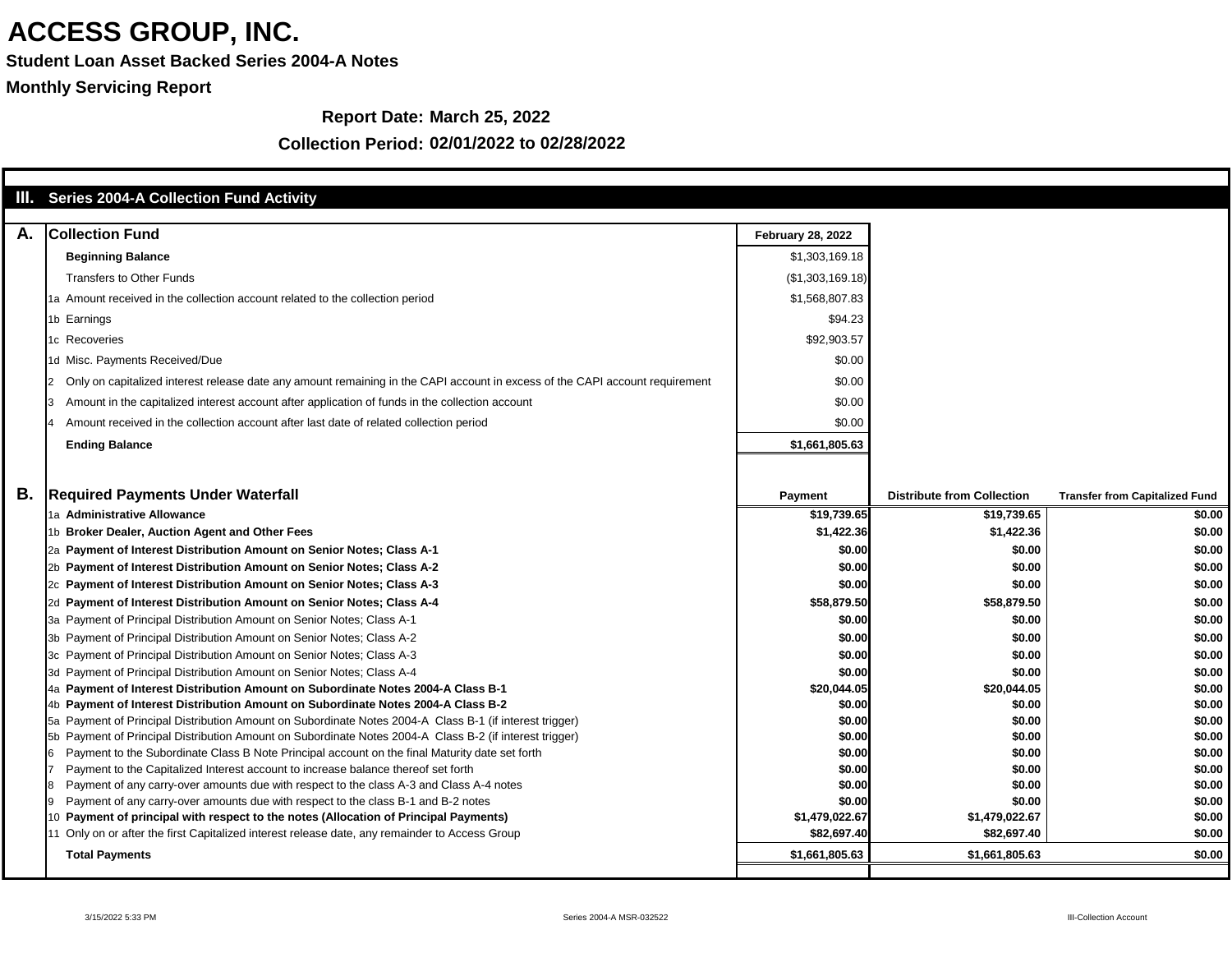**Student Loan Asset Backed Series 2004-A Notes**

**Monthly Servicing Report**

#### **Report Date: March 25, 2022**

| Ш. | <b>Series 2004-A Collection Fund Activity</b>                                                                                                                                |                          |                                   |                                       |
|----|------------------------------------------------------------------------------------------------------------------------------------------------------------------------------|--------------------------|-----------------------------------|---------------------------------------|
| A. | <b>Collection Fund</b>                                                                                                                                                       | <b>February 28, 2022</b> |                                   |                                       |
|    |                                                                                                                                                                              |                          |                                   |                                       |
|    | <b>Beginning Balance</b>                                                                                                                                                     | \$1,303,169.18           |                                   |                                       |
|    | <b>Transfers to Other Funds</b>                                                                                                                                              | (\$1,303,169.18)         |                                   |                                       |
|    | 1a Amount received in the collection account related to the collection period                                                                                                | \$1,568,807.83           |                                   |                                       |
|    | 1b Earnings                                                                                                                                                                  | \$94.23                  |                                   |                                       |
|    | 1c Recoveries                                                                                                                                                                | \$92,903.57              |                                   |                                       |
|    | 1d Misc. Payments Received/Due                                                                                                                                               | \$0.00                   |                                   |                                       |
|    | Only on capitalized interest release date any amount remaining in the CAPI account in excess of the CAPI account requirement                                                 | \$0.00                   |                                   |                                       |
|    | Amount in the capitalized interest account after application of funds in the collection account                                                                              | \$0.00                   |                                   |                                       |
|    | Amount received in the collection account after last date of related collection period                                                                                       | \$0.00                   |                                   |                                       |
|    | <b>Ending Balance</b>                                                                                                                                                        | \$1,661,805.63           |                                   |                                       |
|    |                                                                                                                                                                              |                          |                                   |                                       |
|    |                                                                                                                                                                              |                          |                                   |                                       |
| В. | <b>Required Payments Under Waterfall</b>                                                                                                                                     | <b>Payment</b>           | <b>Distribute from Collection</b> | <b>Transfer from Capitalized Fund</b> |
|    | 1a Administrative Allowance                                                                                                                                                  | \$19,739.65              | \$19,739.65                       | \$0.00                                |
|    | 1b Broker Dealer, Auction Agent and Other Fees                                                                                                                               | \$1,422.36               | \$1,422.36                        | \$0.00                                |
|    | 2a Payment of Interest Distribution Amount on Senior Notes; Class A-1                                                                                                        | \$0.00                   | \$0.00                            | \$0.00                                |
|    | 2b Payment of Interest Distribution Amount on Senior Notes; Class A-2                                                                                                        | \$0.00                   | \$0.00                            | \$0.00                                |
|    | 2c Payment of Interest Distribution Amount on Senior Notes; Class A-3                                                                                                        | \$0.00                   | \$0.00                            | \$0.00                                |
|    | 2d Payment of Interest Distribution Amount on Senior Notes; Class A-4                                                                                                        | \$58,879.50              | \$58,879.50                       | \$0.00                                |
|    | 3a Payment of Principal Distribution Amount on Senior Notes; Class A-1                                                                                                       | \$0.00                   | \$0.00                            | \$0.00                                |
|    | 3b Payment of Principal Distribution Amount on Senior Notes; Class A-2                                                                                                       | \$0.00                   | \$0.00                            | \$0.00                                |
|    | 3c Payment of Principal Distribution Amount on Senior Notes; Class A-3                                                                                                       | \$0.00                   | \$0.00                            | \$0.00                                |
|    | 3d Payment of Principal Distribution Amount on Senior Notes; Class A-4                                                                                                       | \$0.00                   | \$0.00                            | \$0.00                                |
|    | 4a Payment of Interest Distribution Amount on Subordinate Notes 2004-A Class B-1                                                                                             | \$20,044.05              | \$20,044.05                       | \$0.00                                |
|    | 4b Payment of Interest Distribution Amount on Subordinate Notes 2004-A Class B-2                                                                                             | \$0.00                   | \$0.00                            | \$0.00                                |
|    | 5a Payment of Principal Distribution Amount on Subordinate Notes 2004-A Class B-1 (if interest trigger)                                                                      | \$0.00                   | \$0.00                            | \$0.00                                |
|    | 5b Payment of Principal Distribution Amount on Subordinate Notes 2004-A Class B-2 (if interest trigger)                                                                      | \$0.00                   | \$0.00                            | \$0.00                                |
|    | Payment to the Subordinate Class B Note Principal account on the final Maturity date set forth                                                                               | \$0.00                   | \$0.00                            | \$0.00                                |
|    | Payment to the Capitalized Interest account to increase balance thereof set forth                                                                                            | \$0.00                   | \$0.00                            | \$0.00                                |
|    | Payment of any carry-over amounts due with respect to the class A-3 and Class A-4 notes<br>Payment of any carry-over amounts due with respect to the class B-1 and B-2 notes | \$0.00<br>\$0.00         | \$0.00<br>\$0.00                  | \$0.00<br>\$0.00                      |
|    | 10 Payment of principal with respect to the notes (Allocation of Principal Payments)                                                                                         | \$1,479,022.67           | \$1,479,022.67                    | \$0.00                                |
|    | 11 Only on or after the first Capitalized interest release date, any remainder to Access Group                                                                               | \$82,697.40              | \$82,697.40                       | \$0.00                                |
|    | <b>Total Payments</b>                                                                                                                                                        | \$1,661,805.63           | \$1,661,805.63                    | \$0.00                                |
|    |                                                                                                                                                                              |                          |                                   |                                       |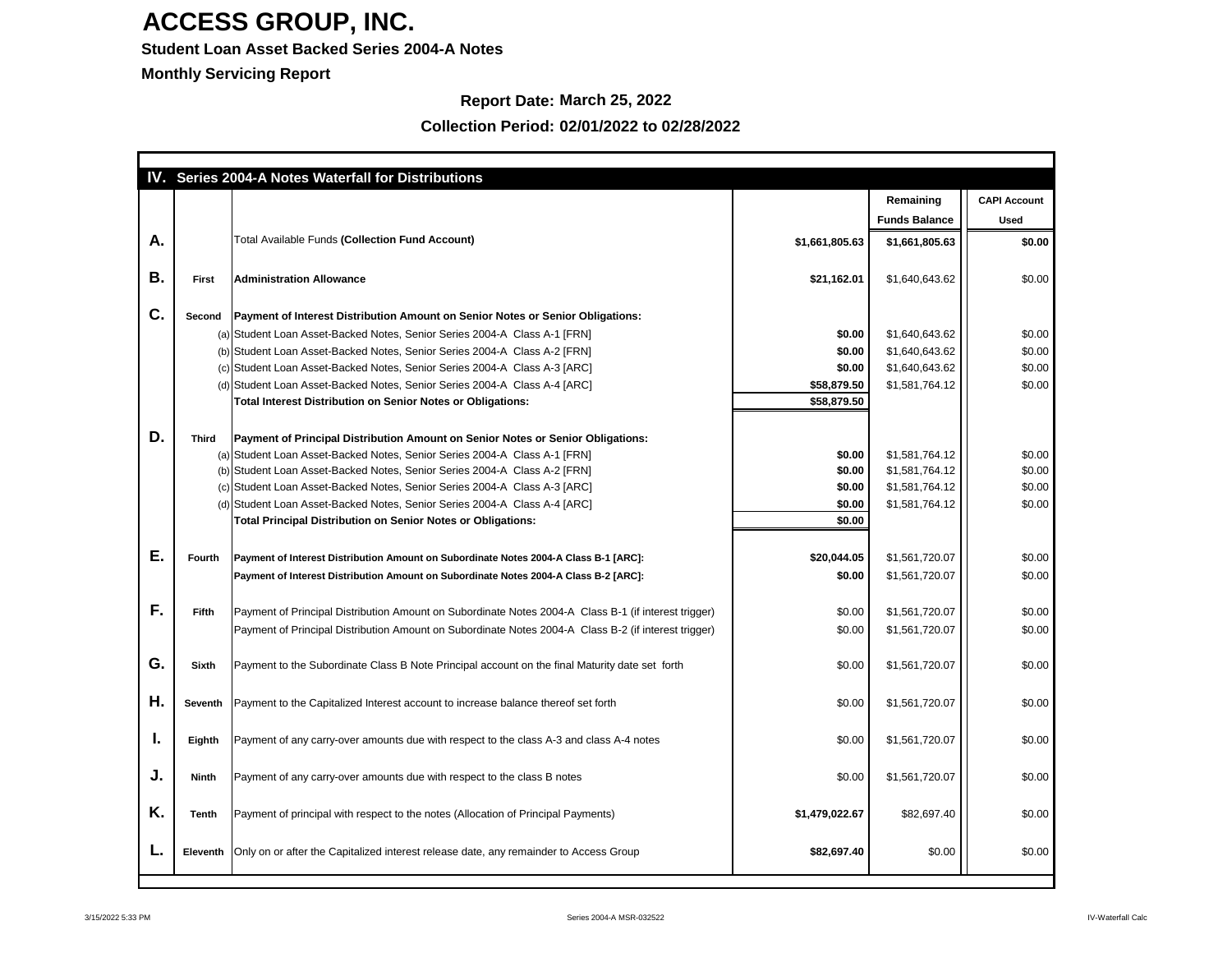### **Student Loan Asset Backed Series 2004-A Notes**

**Monthly Servicing Report**

### **Report Date: March 25, 2022**

|    |                 | IV. Series 2004-A Notes Waterfall for Distributions                                                  |                |                      |                     |
|----|-----------------|------------------------------------------------------------------------------------------------------|----------------|----------------------|---------------------|
|    |                 |                                                                                                      |                | Remaining            | <b>CAPI Account</b> |
|    |                 |                                                                                                      |                | <b>Funds Balance</b> | <b>Used</b>         |
| Α. |                 | <b>Total Available Funds (Collection Fund Account)</b>                                               | \$1,661,805.63 | \$1,661,805.63       | \$0.00              |
| Β. | <b>First</b>    | <b>Administration Allowance</b>                                                                      | \$21,162.01    | \$1,640,643.62       | \$0.00              |
| C. | <b>Second</b>   | Payment of Interest Distribution Amount on Senior Notes or Senior Obligations:                       |                |                      |                     |
|    |                 | (a) Student Loan Asset-Backed Notes, Senior Series 2004-A Class A-1 [FRN]                            | \$0.00         | \$1,640,643.62       | \$0.00              |
|    |                 | (b) Student Loan Asset-Backed Notes, Senior Series 2004-A Class A-2 [FRN]                            | \$0.00         | \$1,640,643.62       | \$0.00              |
|    |                 | (c) Student Loan Asset-Backed Notes, Senior Series 2004-A Class A-3 [ARC]                            | \$0.00         | \$1,640,643.62       | \$0.00              |
|    |                 | (d) Student Loan Asset-Backed Notes, Senior Series 2004-A Class A-4 [ARC]                            | \$58,879.50    | \$1,581,764.12       | \$0.00              |
|    |                 | <b>Total Interest Distribution on Senior Notes or Obligations:</b>                                   | \$58,879.50    |                      |                     |
|    |                 |                                                                                                      |                |                      |                     |
| D. | <b>Third</b>    | Payment of Principal Distribution Amount on Senior Notes or Senior Obligations:                      |                |                      |                     |
|    |                 | (a) Student Loan Asset-Backed Notes, Senior Series 2004-A Class A-1 [FRN]                            | \$0.00         | \$1,581,764.12       | \$0.00              |
|    |                 | (b) Student Loan Asset-Backed Notes, Senior Series 2004-A Class A-2 [FRN]                            | \$0.00         | \$1,581,764.12       | \$0.00              |
|    |                 | (c) Student Loan Asset-Backed Notes, Senior Series 2004-A Class A-3 [ARC]                            | \$0.00         | \$1,581,764.12       | \$0.00              |
|    |                 | (d) Student Loan Asset-Backed Notes, Senior Series 2004-A Class A-4 [ARC]                            | \$0.00         | \$1,581,764.12       | \$0.00              |
|    |                 | <b>Total Principal Distribution on Senior Notes or Obligations:</b>                                  | \$0.00         |                      |                     |
|    |                 |                                                                                                      |                |                      |                     |
| Е. | <b>Fourth</b>   | Payment of Interest Distribution Amount on Subordinate Notes 2004-A Class B-1 [ARC]:                 | \$20,044.05    | \$1,561,720.07       | \$0.00              |
|    |                 | Payment of Interest Distribution Amount on Subordinate Notes 2004-A Class B-2 [ARC]:                 | \$0.00         | \$1,561,720.07       | \$0.00              |
|    |                 |                                                                                                      |                |                      |                     |
| F. | <b>Fifth</b>    | Payment of Principal Distribution Amount on Subordinate Notes 2004-A Class B-1 (if interest trigger) | \$0.00         | \$1,561,720.07       | \$0.00              |
|    |                 | Payment of Principal Distribution Amount on Subordinate Notes 2004-A Class B-2 (if interest trigger) | \$0.00         | \$1,561,720.07       | \$0.00              |
|    |                 |                                                                                                      |                |                      |                     |
| G. | <b>Sixth</b>    | Payment to the Subordinate Class B Note Principal account on the final Maturity date set forth       | \$0.00         | \$1,561,720.07       | \$0.00              |
|    |                 |                                                                                                      |                |                      |                     |
| Η. | <b>Seventh</b>  | Payment to the Capitalized Interest account to increase balance thereof set forth                    | \$0.00         | \$1,561,720.07       | \$0.00              |
|    |                 |                                                                                                      |                |                      |                     |
| ъ. | Eighth          | Payment of any carry-over amounts due with respect to the class A-3 and class A-4 notes              | \$0.00         | \$1,561,720.07       | \$0.00              |
|    |                 |                                                                                                      |                |                      |                     |
|    |                 |                                                                                                      |                |                      |                     |
| J. | <b>Ninth</b>    | Payment of any carry-over amounts due with respect to the class B notes                              | \$0.00         | \$1,561,720.07       | \$0.00              |
|    |                 |                                                                                                      |                |                      |                     |
| K. | <b>Tenth</b>    | Payment of principal with respect to the notes (Allocation of Principal Payments)                    | \$1,479,022.67 | \$82,697.40          | \$0.00              |
|    |                 |                                                                                                      |                |                      |                     |
|    | <b>Eleventh</b> | Only on or after the Capitalized interest release date, any remainder to Access Group                | \$82,697.40    | \$0.00               | \$0.00              |
|    |                 |                                                                                                      |                |                      |                     |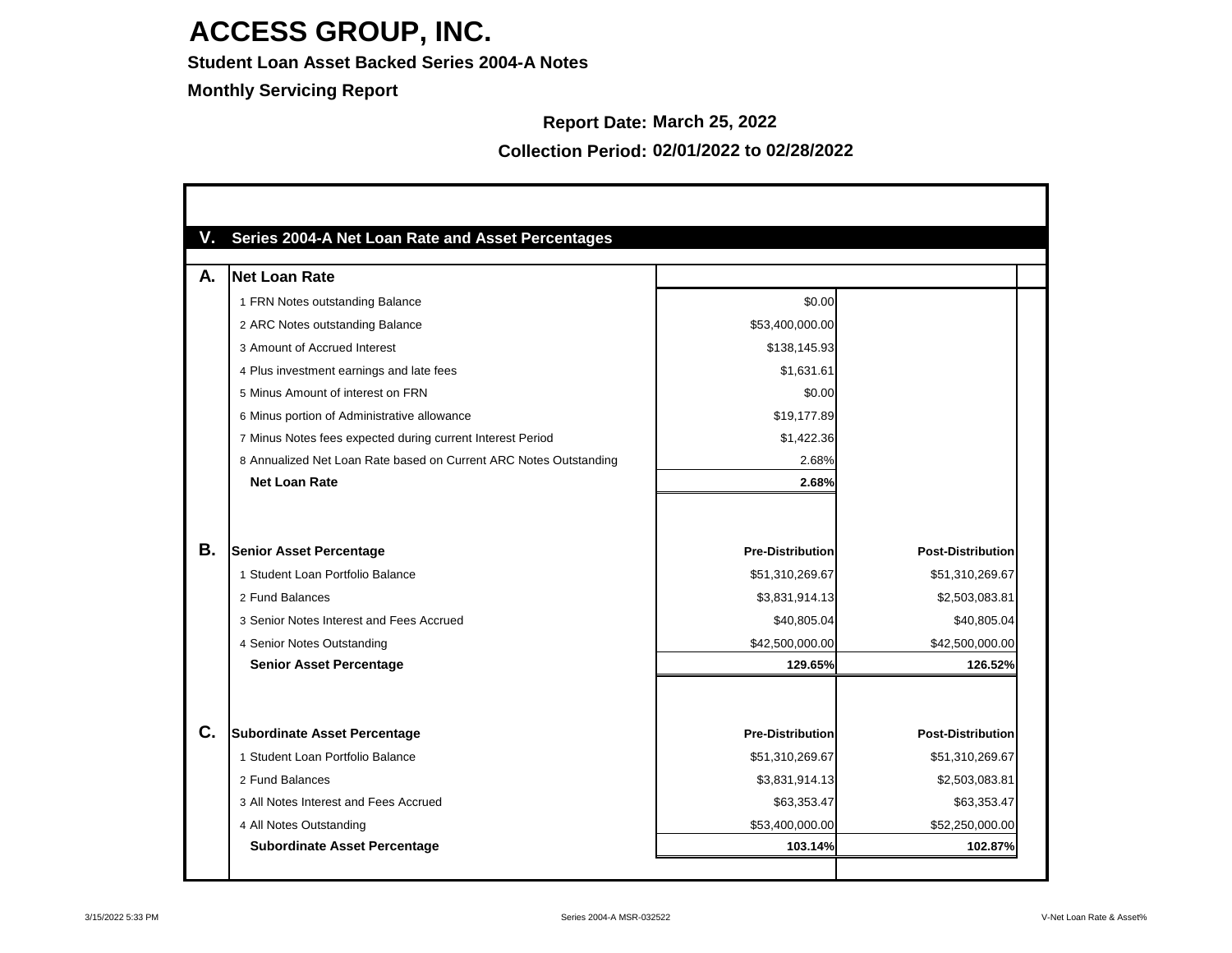**Student Loan Asset Backed Series 2004-A Notes**

**Monthly Servicing Report**

#### **Report Date: March 25, 2022**

| А. | <b>Net Loan Rate</b>                                              |                         |                          |
|----|-------------------------------------------------------------------|-------------------------|--------------------------|
|    | 1 FRN Notes outstanding Balance                                   | \$0.00                  |                          |
|    | 2 ARC Notes outstanding Balance                                   | \$53,400,000.00         |                          |
|    | 3 Amount of Accrued Interest                                      | \$138,145.93            |                          |
|    | 4 Plus investment earnings and late fees                          | \$1,631.61              |                          |
|    | 5 Minus Amount of interest on FRN                                 | \$0.00                  |                          |
|    | 6 Minus portion of Administrative allowance                       | \$19,177.89             |                          |
|    | 7 Minus Notes fees expected during current Interest Period        | \$1,422.36              |                          |
|    | 8 Annualized Net Loan Rate based on Current ARC Notes Outstanding | 2.68%                   |                          |
|    | <b>Net Loan Rate</b>                                              | 2.68%                   |                          |
| Β. | <b>Senior Asset Percentage</b>                                    | <b>Pre-Distribution</b> | <b>Post-Distribution</b> |
|    | 1 Student Loan Portfolio Balance                                  | \$51,310,269.67         | \$51,310,269.67          |
|    | 2 Fund Balances                                                   | \$3,831,914.13          | \$2,503,083.81           |
|    | 3 Senior Notes Interest and Fees Accrued                          | \$40,805.04             | \$40,805.04              |
|    | 4 Senior Notes Outstanding                                        | \$42,500,000.00         | \$42,500,000.00          |
|    | <b>Senior Asset Percentage</b>                                    | 129.65%                 | 126.52%                  |
| C. | <b>Subordinate Asset Percentage</b>                               | <b>Pre-Distribution</b> | <b>Post-Distribution</b> |
|    | 1 Student Loan Portfolio Balance                                  | \$51,310,269.67         | \$51,310,269.67          |
|    | 2 Fund Balances                                                   | \$3,831,914.13          | \$2,503,083.81           |
|    | 3 All Notes Interest and Fees Accrued                             | \$63,353.47             | \$63,353.47              |
|    | 4 All Notes Outstanding                                           | \$53,400,000.00         | \$52,250,000.00          |
|    | <b>Subordinate Asset Percentage</b>                               | 103.14%                 | 102.87%                  |

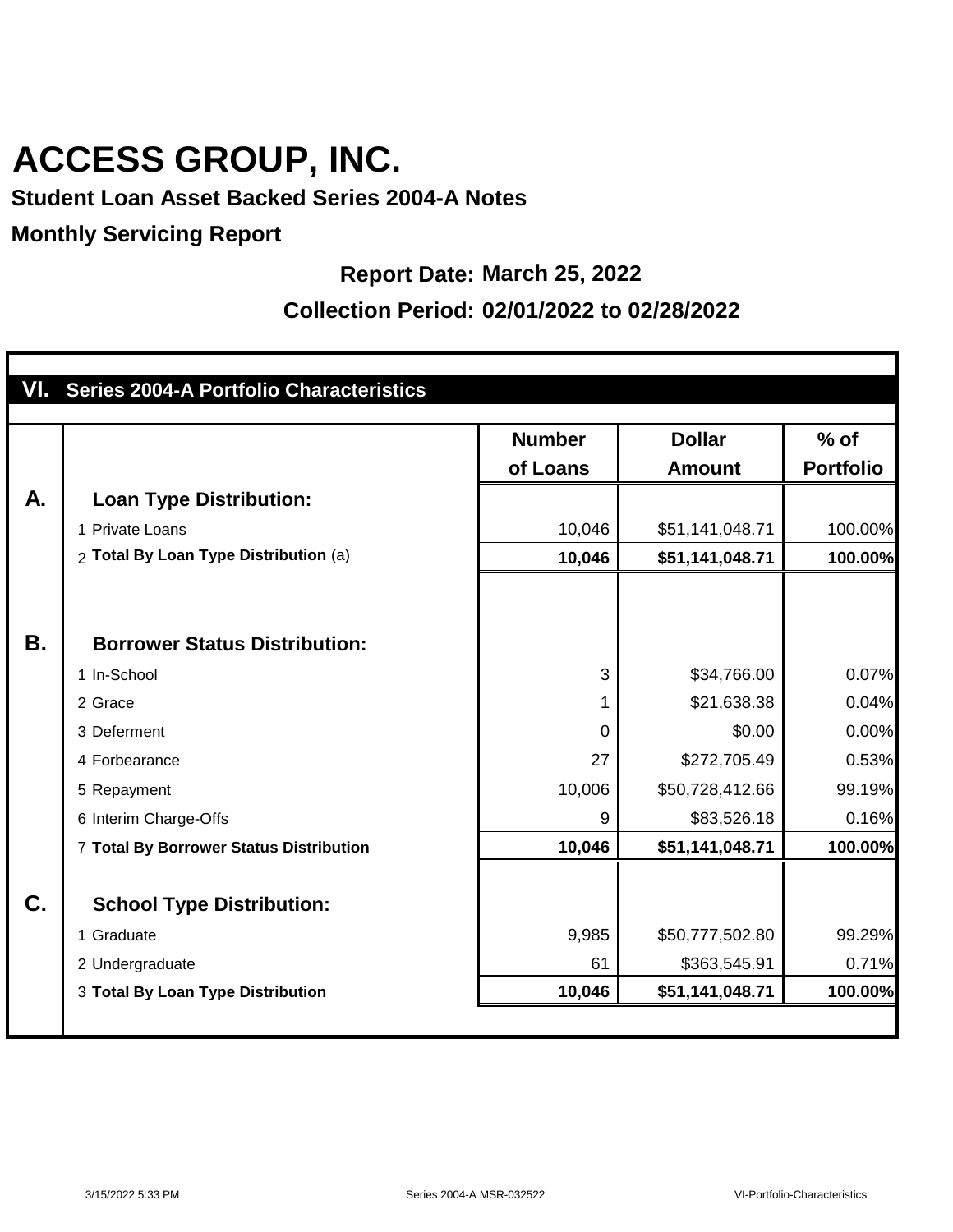#### **Student Loan Asset Backed Series 2004-A Notes**

#### **Monthly Servicing Report**

#### **Report Date: March 25, 2022**

|    | VI. Series 2004-A Portfolio Characteristics |                |                 |                  |
|----|---------------------------------------------|----------------|-----------------|------------------|
|    |                                             | <b>Number</b>  | <b>Dollar</b>   | $%$ of           |
|    |                                             | of Loans       | <b>Amount</b>   | <b>Portfolio</b> |
| A. | <b>Loan Type Distribution:</b>              |                |                 |                  |
|    | 1 Private Loans                             | 10,046         | \$51,141,048.71 | 100.00%          |
|    | 2 Total By Loan Type Distribution (a)       | 10,046         | \$51,141,048.71 | 100.00%          |
|    |                                             |                |                 |                  |
|    |                                             |                |                 |                  |
| Β. | <b>Borrower Status Distribution:</b>        |                |                 |                  |
|    | 1 In-School                                 | 3              | \$34,766.00     | 0.07%            |
|    | 2 Grace                                     | 1              | \$21,638.38     | 0.04%            |
|    | 3 Deferment                                 | $\overline{0}$ | \$0.00          | 0.00%            |
|    | 4 Forbearance                               | 27             | \$272,705.49    | 0.53%            |
|    | 5 Repayment                                 | 10,006         | \$50,728,412.66 | 99.19%           |
|    | 6 Interim Charge-Offs                       | 9              | \$83,526.18     | 0.16%            |
|    | 7 Total By Borrower Status Distribution     | 10,046         | \$51,141,048.71 | 100.00%          |
|    |                                             |                |                 |                  |
| C. | <b>School Type Distribution:</b>            |                |                 |                  |
|    | 1 Graduate                                  | 9,985          | \$50,777,502.80 | 99.29%           |
|    | 2 Undergraduate                             | 61             | \$363,545.91    | 0.71%            |
|    | 3 Total By Loan Type Distribution           | 10,046         | \$51,141,048.71 | 100.00%          |
|    |                                             |                |                 |                  |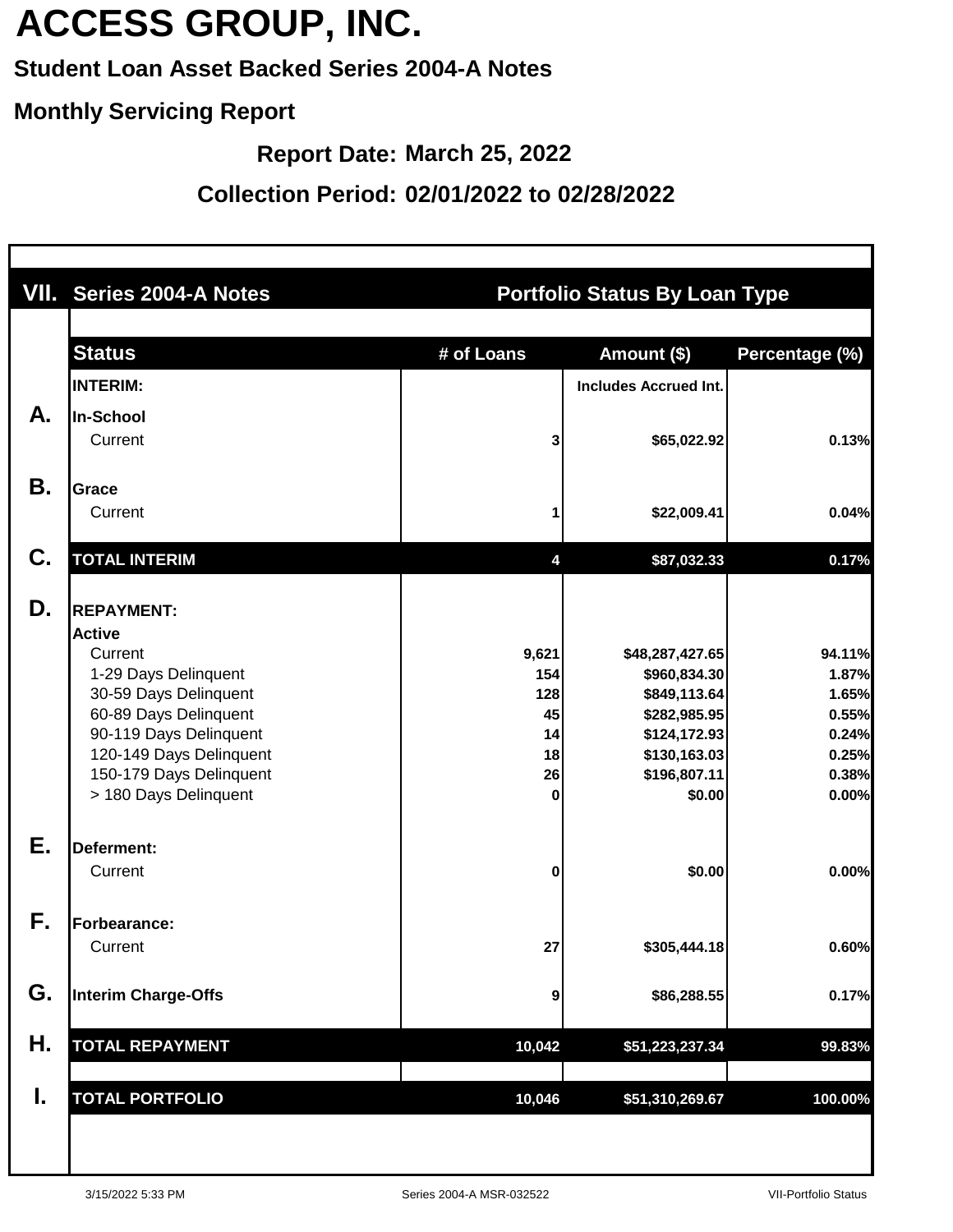### **Student Loan Asset Backed Series 2004-A Notes**

#### **Monthly Servicing Report**

**Report Date: March 25, 2022**

|    | VII. Series 2004-A Notes                                                                                                                                                                                                         | <b>Portfolio Status By Loan Type</b>             |                                                                                                                           |                                                                       |  |  |  |
|----|----------------------------------------------------------------------------------------------------------------------------------------------------------------------------------------------------------------------------------|--------------------------------------------------|---------------------------------------------------------------------------------------------------------------------------|-----------------------------------------------------------------------|--|--|--|
|    | <b>Status</b>                                                                                                                                                                                                                    | # of Loans                                       | Amount (\$)                                                                                                               | Percentage (%)                                                        |  |  |  |
|    | <b>INTERIM:</b>                                                                                                                                                                                                                  |                                                  | <b>Includes Accrued Int.</b>                                                                                              |                                                                       |  |  |  |
| А. | In-School<br>Current                                                                                                                                                                                                             | 3                                                | \$65,022.92                                                                                                               | 0.13%                                                                 |  |  |  |
| Β. | Grace<br>Current                                                                                                                                                                                                                 |                                                  | \$22,009.41                                                                                                               | 0.04%                                                                 |  |  |  |
| C. | <b>TOTAL INTERIM</b>                                                                                                                                                                                                             | 4                                                | \$87,032.33                                                                                                               | 0.17%                                                                 |  |  |  |
| D. | <b>REPAYMENT:</b><br><b>Active</b><br>Current<br>1-29 Days Delinquent<br>30-59 Days Delinquent<br>60-89 Days Delinquent<br>90-119 Days Delinquent<br>120-149 Days Delinquent<br>150-179 Days Delinquent<br>> 180 Days Delinquent | 9,621<br>154<br>128<br>45<br>14<br>18<br>26<br>0 | \$48,287,427.65<br>\$960,834.30<br>\$849,113.64<br>\$282,985.95<br>\$124,172.93<br>\$130,163.03<br>\$196,807.11<br>\$0.00 | 94.11%<br>1.87%<br>1.65%<br>0.55%<br>0.24%<br>0.25%<br>0.38%<br>0.00% |  |  |  |
| Е. | Deferment:<br>Current                                                                                                                                                                                                            | 0                                                | \$0.00                                                                                                                    | 0.00%                                                                 |  |  |  |
| F. | Forbearance:<br>Current                                                                                                                                                                                                          | 27                                               | \$305,444.18                                                                                                              | 0.60%                                                                 |  |  |  |
| G. | <b>Interim Charge-Offs</b>                                                                                                                                                                                                       | 9                                                | \$86,288.55                                                                                                               | 0.17%                                                                 |  |  |  |
| Η. | <b>TOTAL REPAYMENT</b>                                                                                                                                                                                                           | 10,042                                           | \$51,223,237.34                                                                                                           | 99.83%                                                                |  |  |  |
| I. | <b>TOTAL PORTFOLIO</b>                                                                                                                                                                                                           | 10,046                                           | \$51,310,269.67                                                                                                           | 100.00%                                                               |  |  |  |
|    |                                                                                                                                                                                                                                  |                                                  |                                                                                                                           |                                                                       |  |  |  |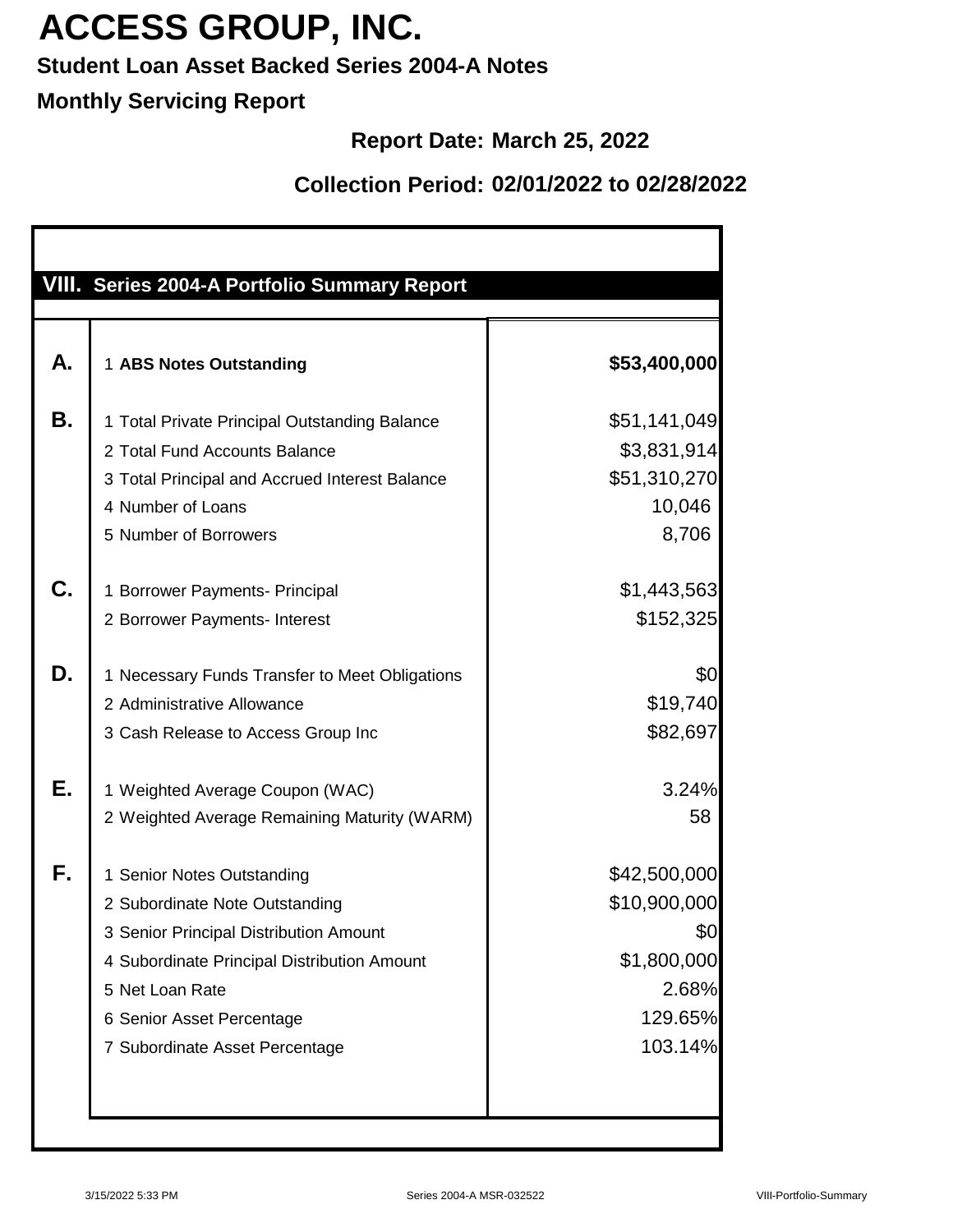### **Student Loan Asset Backed Series 2004-A Notes**

### **Monthly Servicing Report**

### **Report Date: March 25, 2022**

| VIII. Series 2004-A Portfolio Summary Report   |              |
|------------------------------------------------|--------------|
| 1 ABS Notes Outstanding                        | \$53,400,000 |
| 1 Total Private Principal Outstanding Balance  | \$51,141,049 |
| 2 Total Fund Accounts Balance                  | \$3,831,914  |
| 3 Total Principal and Accrued Interest Balance | \$51,310,270 |
| 4 Number of Loans                              | 10,046       |
| 5 Number of Borrowers                          | 8,706        |
| 1 Borrower Payments- Principal                 | \$1,443,563  |
| 2 Borrower Payments- Interest                  | \$152,325    |
| 1 Necessary Funds Transfer to Meet Obligations | \$0          |
| 2 Administrative Allowance                     | \$19,740     |
| 3 Cash Release to Access Group Inc             | \$82,697     |
| 1 Weighted Average Coupon (WAC)                | 3.24%        |
| 2 Weighted Average Remaining Maturity (WARM)   | 58           |
| 1 Senior Notes Outstanding                     | \$42,500,000 |
| 2 Subordinate Note Outstanding                 | \$10,900,000 |
| 3 Senior Principal Distribution Amount         | \$0          |
| 4 Subordinate Principal Distribution Amount    | \$1,800,000  |
| 5 Net Loan Rate                                | 2.68%        |
| 6 Senior Asset Percentage                      | 129.65%      |
| 7 Subordinate Asset Percentage                 | 103.14%      |
|                                                |              |